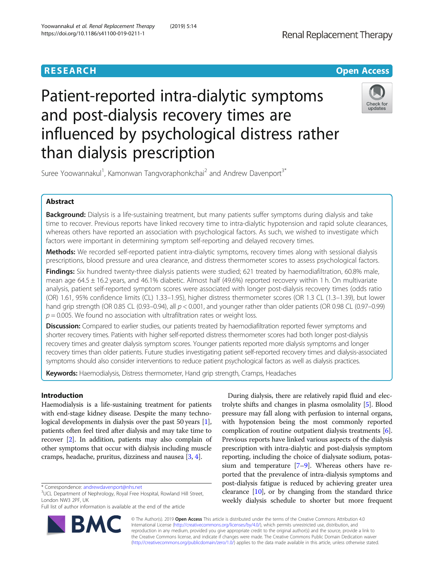

# Patient-reported intra-dialytic symptoms and post-dialysis recovery times are influenced by psychological distress rather than dialysis prescription



Suree Yoowannakul<sup>1</sup>, Kamonwan Tangvoraphonkchai<sup>2</sup> and Andrew Davenport<sup>3\*</sup>

### Abstract

Background: Dialysis is a life-sustaining treatment, but many patients suffer symptoms during dialysis and take time to recover. Previous reports have linked recovery time to intra-dialytic hypotension and rapid solute clearances, whereas others have reported an association with psychological factors. As such, we wished to investigate which factors were important in determining symptom self-reporting and delayed recovery times.

Methods: We recorded self-reported patient intra-dialytic symptoms, recovery times along with sessional dialysis prescriptions, blood pressure and urea clearance, and distress thermometer scores to assess psychological factors.

Findings: Six hundred twenty-three dialysis patients were studied; 621 treated by haemodiafiltration, 60.8% male, mean age 64.5 ± 16.2 years, and 46.1% diabetic. Almost half (49.6%) reported recovery within 1 h. On multivariate analysis, patient self-reported symptom scores were associated with longer post-dialysis recovery times (odds ratio (OR) 1.61, 95% confidence limits (CL) 1.33–1.95), higher distress thermometer scores (OR 1.3 CL (1.3–1.39), but lower hand grip strength (OR 0.85 CL (0.93–0.94), all  $p < 0.001$ , and younger rather than older patients (OR 0.98 CL (0.97–0.99)  $p = 0.005$ . We found no association with ultrafiltration rates or weight loss.

Discussion: Compared to earlier studies, our patients treated by haemodiafiltration reported fewer symptoms and shorter recovery times. Patients with higher self-reported distress thermometer scores had both longer post-dialysis recovery times and greater dialysis symptom scores. Younger patients reported more dialysis symptoms and longer recovery times than older patients. Future studies investigating patient self-reported recovery times and dialysis-associated symptoms should also consider interventions to reduce patient psychological factors as well as dialysis practices.

Keywords: Haemodialysis, Distress thermometer, Hand grip strength, Cramps, Headaches

#### Introduction

Haemodialysis is a life-sustaining treatment for patients with end-stage kidney disease. Despite the many techno-logical developments in dialysis over the past 50 years [[1](#page-6-0)], patients often feel tired after dialysis and may take time to recover [\[2](#page-6-0)]. In addition, patients may also complain of other symptoms that occur with dialysis including muscle cramps, headache, pruritus, dizziness and nausea [\[3,](#page-6-0) [4](#page-6-0)].

Full list of author information is available at the end of the article



During dialysis, there are relatively rapid fluid and electrolyte shifts and changes in plasma osmolality [[5\]](#page-6-0). Blood pressure may fall along with perfusion to internal organs, with hypotension being the most commonly reported complication of routine outpatient dialysis treatments [[6](#page-6-0)]. Previous reports have linked various aspects of the dialysis prescription with intra-dialytic and post-dialysis symptom reporting, including the choice of dialysate sodium, potassium and temperature [[7](#page-6-0)–[9](#page-6-0)]. Whereas others have reported that the prevalence of intra-dialysis symptoms and post-dialysis fatigue is reduced by achieving greater urea clearance [\[10](#page-6-0)], or by changing from the standard thrice weekly dialysis schedule to shorter but more frequent

© The Author(s). 2019 Open Access This article is distributed under the terms of the Creative Commons Attribution 4.0 International License [\(http://creativecommons.org/licenses/by/4.0/](http://creativecommons.org/licenses/by/4.0/)), which permits unrestricted use, distribution, and reproduction in any medium, provided you give appropriate credit to the original author(s) and the source, provide a link to the Creative Commons license, and indicate if changes were made. The Creative Commons Public Domain Dedication waiver [\(http://creativecommons.org/publicdomain/zero/1.0/](http://creativecommons.org/publicdomain/zero/1.0/)) applies to the data made available in this article, unless otherwise stated.

<sup>\*</sup> Correspondence: [andrewdavenport@nhs.net](mailto:andrewdavenport@nhs.net) <sup>3</sup>

<sup>&</sup>lt;sup>3</sup>UCL Department of Nephrology, Royal Free Hospital, Rowland Hill Street, London NW3 2PF, UK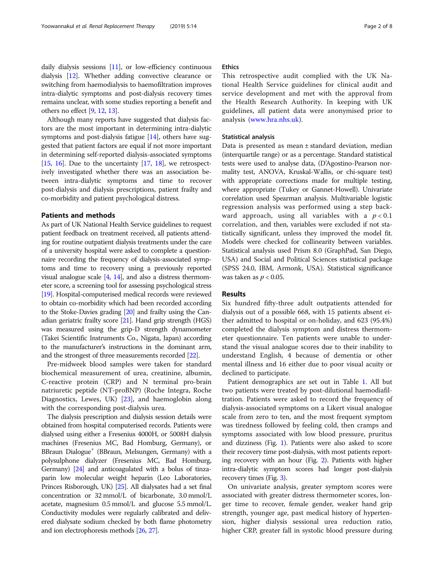daily dialysis sessions [\[11\]](#page-6-0), or low-efficiency continuous dialysis [\[12](#page-6-0)]. Whether adding convective clearance or switching from haemodialysis to haemofiltration improves intra-dialytic symptoms and post-dialysis recovery times remains unclear, with some studies reporting a benefit and others no effect [[9](#page-6-0), [12,](#page-6-0) [13](#page-6-0)].

Although many reports have suggested that dialysis factors are the most important in determining intra-dialytic symptoms and post-dialysis fatigue [\[14\]](#page-6-0), others have suggested that patient factors are equal if not more important in determining self-reported dialysis-associated symptoms [[15](#page-6-0), [16](#page-6-0)]. Due to the uncertainty  $[17, 18]$  $[17, 18]$  $[17, 18]$  $[17, 18]$  $[17, 18]$ , we retrospectively investigated whether there was an association between intra-dialytic symptoms and time to recover post-dialysis and dialysis prescriptions, patient frailty and co-morbidity and patient psychological distress.

#### Patients and methods

As part of UK National Health Service guidelines to request patient feedback on treatment received, all patients attending for routine outpatient dialysis treatments under the care of a university hospital were asked to complete a questionnaire recording the frequency of dialysis-associated symptoms and time to recovery using a previously reported visual analogue scale [[4](#page-6-0), [14](#page-6-0)], and also a distress thermometer score, a screening tool for assessing psychological stress [[19](#page-6-0)]. Hospital-computerised medical records were reviewed to obtain co-morbidity which had been recorded according to the Stoke-Davies grading [[20](#page-6-0)] and frailty using the Canadian geriatric frailty score [\[21\]](#page-6-0). Hand grip strength (HGS) was measured using the grip-D strength dynamometer (Takei Scientific Instruments Co., Nigata, Japan) according to the manufacturer's instructions in the dominant arm, and the strongest of three measurements recorded [[22](#page-6-0)].

Pre-midweek blood samples were taken for standard biochemical measurement of urea, creatinine, albumin, C-reactive protein (CRP) and N terminal pro-brain natriuretic peptide (NT-proBNP) (Roche Integra, Roche Diagnostics, Lewes, UK) [\[23](#page-6-0)], and haemoglobin along with the corresponding post-dialysis urea.

The dialysis prescription and dialysis session details were obtained from hospital computerised records. Patients were dialysed using either a Fresenius 4000H, or 5008H dialysis machines (Fresenius MC, Bad Homburg, Germany), or BBraun Dialogue<sup>+</sup> (BBraun, Melsungen, Germany) with a polysulphone dialyzer (Fresenius MC, Bad Homburg, Germany) [[24\]](#page-6-0) and anticoagulated with a bolus of tinzaparin low molecular weight heparin (Leo Laboratories, Princes Risborough, UK) [\[25\]](#page-7-0). All dialysates had a set final concentration or 32 mmol/L of bicarbonate, 3.0 mmol/L acetate, magnesium 0.5 mmol/L and glucose 5.5 mmol/L. Conductivity modules were regularly calibrated and delivered dialysate sodium checked by both flame photometry and ion electrophoresis methods [\[26](#page-7-0), [27](#page-7-0)].

#### **Ethics**

This retrospective audit complied with the UK National Health Service guidelines for clinical audit and service development and met with the approval from the Health Research Authority. In keeping with UK guidelines, all patient data were anonymised prior to analysis ([www.hra.nhs.uk](https://www.hra.nhs.uk)).

#### Statistical analysis

Data is presented as mean ± standard deviation, median (interquartile range) or as a percentage. Standard statistical tests were used to analyse data, (D'Agostino-Pearson normality test, ANOVA, Kruskal-Wallis, or chi-square test) with appropriate corrections made for multiple testing, where appropriate (Tukey or Gannet-Howell). Univariate correlation used Spearman analysis. Multivariable logistic regression analysis was performed using a step backward approach, using all variables with a  $p < 0.1$ correlation, and then, variables were excluded if not statistically significant, unless they improved the model fit. Models were checked for collinearity between variables. Statistical analysis used Prism 8.0 (GraphPad, San Diego, USA) and Social and Political Sciences statistical package (SPSS 24.0, IBM, Armonk, USA). Statistical significance was taken as  $p < 0.05$ .

#### Results

Six hundred fifty-three adult outpatients attended for dialysis out of a possible 668, with 15 patients absent either admitted to hospital or on-holiday, and 623 (95.4%) completed the dialysis symptom and distress thermometer questionnaire. Ten patients were unable to understand the visual analogue scores due to their inability to understand English, 4 because of dementia or other mental illness and 16 either due to poor visual acuity or declined to participate.

Patient demographics are set out in Table [1.](#page-2-0) All but two patients were treated by post-dilutional haemodiafiltration. Patients were asked to record the frequency of dialysis-associated symptoms on a Likert visual analogue scale from zero to ten, and the most frequent symptom was tiredness followed by feeling cold, then cramps and symptoms associated with low blood pressure, pruritus and dizziness (Fig. [1\)](#page-2-0). Patients were also asked to score their recovery time post-dialysis, with most patients reporting recovery with an hour (Fig. [2\)](#page-3-0). Patients with higher intra-dialytic symptom scores had longer post-dialysis recovery times (Fig. [3](#page-3-0)).

On univariate analysis, greater symptom scores were associated with greater distress thermometer scores, longer time to recover, female gender, weaker hand grip strength, younger age, past medical history of hypertension, higher dialysis sessional urea reduction ratio, higher CRP, greater fall in systolic blood pressure during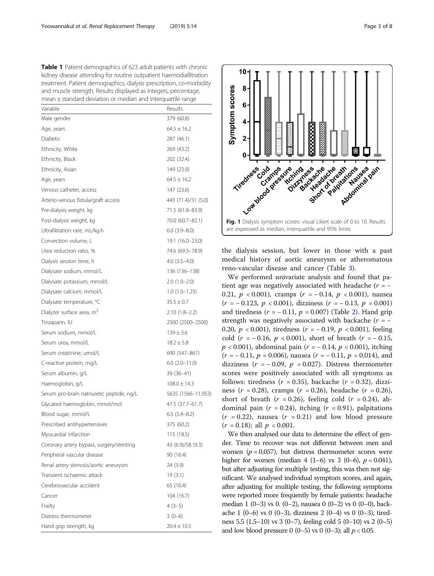<span id="page-2-0"></span>Table 1 Patient demographics of 623 adult patients with chronic kidney disease attending for routine outpatient haemodiafiltration treatment. Patient demographics, dialysis prescription, co-morbidity and muscle strength. Results displayed as integers, percentage, mean ± standard deviation or median and interquartile range

| Variable                                  | Results              |
|-------------------------------------------|----------------------|
| Male gender                               | 379 (60.8)           |
| Age, years                                | $64.5 \pm 16.2$      |
| Diabetic                                  | 287 (46.1)           |
| Ethnicity, White                          | 269 (43.2)           |
| Ethnicity, Black                          | 202 (32.4)           |
| Ethnicity, Asian                          | 149 (23.9)           |
| Age, years                                | $64.5 \pm 16.2$      |
| Venous catheter, access                   | 147 (23.6)           |
| Arterio-venous fistula/graft access       | 445 (71.4)/31 (5.0)  |
| Pre-dialysis weight, kg                   | 71.5 (61.8–83.9)     |
| Post-dialysis weight, kg                  | 70.0 (60.7-82.1)     |
| Ultrafiltration rate, mL/kg.h             | $6.0$ $(3.9 - 8.0)$  |
| Convection volume, L                      | 19.1 (16.0–23.0)     |
| Urea reduction ratio, %                   | 74.6 (69.3–78.9)     |
| Dialysis session time, h                  | $4.0$ $(3.5 - 4.0)$  |
| Dialysate sodium, mmol/L                  | 136 (136-138)        |
| Dialysate potassium, mmol/L               | $2.0(1.0-2.0)$       |
| Dialysate calcium, mmol/L                 | $1.0(1.0-1.25)$      |
| Dialysate temperature, °C                 | $35.5 \pm 0.7$       |
| Dialyzer surface area, m <sup>2</sup>     | $2.10(1.8-2.2)$      |
| Tinzaparin, IU                            | 2500 (2500-2500)     |
| Serum sodium, mmol/L                      | $139 \pm 3.6$        |
| Serum urea, mmol/L                        | $18.2 \pm 5.8$       |
| Serum creatinine, umol/L                  | 690 (547-861)        |
| C-reactive protein, mg/L                  | $6.0$ $(2.0 - 11.0)$ |
| Serum albumin, g/L                        | 39 (36–41)           |
| Haemoglobin, g/L                          | $108.0 \pm 14.3$     |
| Serum pro-brain natriuretic peptide, ng/L | 5635 (1566-11,953)   |
| Glycated haemoglobin, mmol/mol            | 47.5 (37.7–61.7)     |
| Blood sugar, mmol/L                       | $6.5(5.4-8.2)$       |
| Prescribed antihypertensives              | 375 (60.2)           |
| Myocardial infarction                     | 115 (18.5)           |
| Coronary artery bypass, surgery/stenting  | 43 (6.9)/58 (9.3)    |
| Peripheral vascular disease               | 90 (16.4)            |
| Renal artery stenosis/aortic aneurysm     | 24 (3.9)             |
| Transient ischaemic attack                | 19(3.1)              |
| Cerebrovascular accident                  | 65 (10.4)            |
| Cancer                                    | 104(16.7)            |
| Frailty                                   | $4(3-5)$             |
| Distress thermometer                      | $3(0-6)$             |
| Hand grip strength, kg                    | $20.4 \pm 10.5$      |



the dialysis session, but lower in those with a past medical history of aortic aneurysm or atheromatous reno-vascular disease and cancer (Table [3\)](#page-4-0).

We performed univariate analysis and found that patient age was negatively associated with headache ( $r = -$ 0.21,  $p < 0.001$ ), cramps ( $r = -0.14$ ,  $p < 0.001$ ), nausea  $(r = -0.123, p < 0.001)$ , dizziness  $(r = -0.13, p = 0.001)$ and tiredness  $(r = -0.11, p = 0.007)$  (Table [2](#page-3-0)). Hand grip strength was negatively associated with backache  $(r = -$ 0.20,  $p < 0.001$ ), tiredness ( $r = -0.19$ ,  $p < 0.001$ ), feeling cold ( $r = -0.16$ ,  $p < 0.001$ ), short of breath ( $r = -0.15$ ,  $p < 0.001$ ), abdominal pain (r = -0.14, p < 0.001), itching  $(r = -0.11, p = 0.006)$ , nausea  $(r = -0.11, p = 0.014)$ , and dizziness ( $r = -0.09$ ,  $p = 0.027$ ). Distress thermometer scores were positively associated with all symptoms as follows: tiredness ( $r = 0.35$ ), backache ( $r = 0.32$ ), dizziness ( $r = 0.28$ ), cramps ( $r = 0.26$ ), headache ( $r = 0.26$ ), short of breath  $(r = 0.26)$ , feeling cold  $(r = 0.24)$ , abdominal pain  $(r = 0.24)$ , itching  $(r = 0.91)$ , palpitations  $(r = 0.22)$ , nausea  $(r = 0.21)$  and low blood pressure  $(r = 0.18)$ ; all  $p < 0.001$ .

We then analysed our data to determine the effect of gender. Time to recover was not different between men and women ( $p = 0.057$ ), but distress thermometer scores were higher for women (median 4  $(1-6)$  vs 3  $(0-6)$ ,  $p = 0.041$ ), but after adjusting for multiple testing, this was then not significant. We analysed individual symptom scores, and again, after adjusting for multiple testing, the following symptoms were reported more frequently by female patients: headache median 1 (0–3) vs 0. (0–2), nausea 0 (0–2) vs 0 (0–0), backache 1 (0–6) vs 0 (0–3), dizziness 2 (0–4) vs 0 (0–3), tiredness 5.5 (1.5–10) vs 3 (0–7), feeling cold 5 (0–10) vs 2 (0–5) and low blood pressure 0 (0–5) vs 0 (0–3); all  $p < 0.05$ .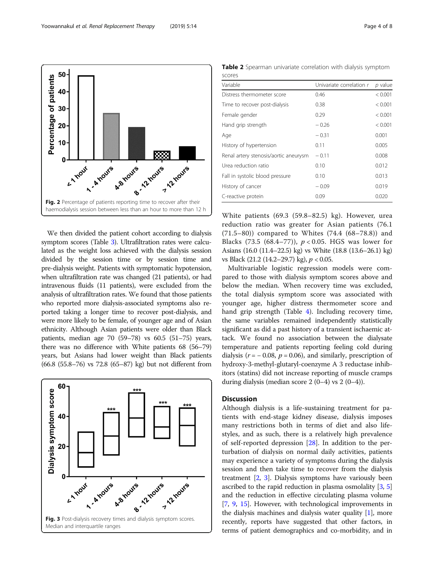We then divided the patient cohort according to dialysis symptom scores (Table [3\)](#page-4-0). Ultrafiltration rates were calculated as the weight loss achieved with the dialysis session divided by the session time or by session time and pre-dialysis weight. Patients with symptomatic hypotension, when ultrafiltration rate was changed (21 patients), or had intravenous fluids (11 patients), were excluded from the analysis of ultrafiltration rates. We found that those patients who reported more dialysis-associated symptoms also reported taking a longer time to recover post-dialysis, and were more likely to be female, of younger age and of Asian ethnicity. Although Asian patients were older than Black patients, median age 70 (59–78) vs 60.5 (51–75) years, there was no difference with White patients 68 (56–79) years, but Asians had lower weight than Black patients (66.8 (55.8–76) vs 72.8 (65–87) kg) but not different from

## 60 Dialysis symptom score 40 20 7 12 mouts LI TOUX A - A YOUXS 4.8 hours , 12 hours Fig. 3 Post-dialysis recovery times and dialysis symptom scores. Median and interquartile ranges

White patients (69.3 (59.8–82.5) kg). However, urea reduction ratio was greater for Asian patients (76.1 (71.5–80)) compared to Whites (74.4 (68–78.8)) and Blacks (73.5 (68.4–77)),  $p < 0.05$ . HGS was lower for Asians (16.0 (11.4–22.5) kg) vs White (18.8 (13.6–26.1) kg) vs Black (21.2 (14.2–29.7) kg), p < 0.05.

Multivariable logistic regression models were compared to those with dialysis symptom scores above and below the median. When recovery time was excluded, the total dialysis symptom score was associated with younger age, higher distress thermometer score and hand grip strength (Table [4\)](#page-5-0). Including recovery time, the same variables remained independently statistically significant as did a past history of a transient ischaemic attack. We found no association between the dialysate temperature and patients reporting feeling cold during dialysis ( $r = -0.08$ ,  $p = 0.06$ ), and similarly, prescription of hydroxy-3-methyl-glutaryl-coenzyme A 3 reductase inhibitors (statins) did not increase reporting of muscle cramps during dialysis (median score  $2(0-4)$  vs  $2(0-4)$ ).

#### **Discussion**

Although dialysis is a life-sustaining treatment for patients with end-stage kidney disease, dialysis imposes many restrictions both in terms of diet and also lifestyles, and as such, there is a relatively high prevalence of self-reported depression [\[28](#page-7-0)]. In addition to the perturbation of dialysis on normal daily activities, patients may experience a variety of symptoms during the dialysis session and then take time to recover from the dialysis treatment [\[2](#page-6-0), [3](#page-6-0)]. Dialysis symptoms have variously been ascribed to the rapid reduction in plasma osmolality [[3,](#page-6-0) [5](#page-6-0)] and the reduction in effective circulating plasma volume [[7,](#page-6-0) [9,](#page-6-0) [15](#page-6-0)]. However, with technological improvements in the dialysis machines and dialysis water quality [\[1\]](#page-6-0), more recently, reports have suggested that other factors, in terms of patient demographics and co-morbidity, and in

Table 2 Spearman univariate correlation with dialysis symptom scores

| Variable                              | Univariate correlation r | $p$ value |
|---------------------------------------|--------------------------|-----------|
| Distress thermometer score            | 0.46                     | < 0.001   |
| Time to recover post-dialysis         | 0.38                     | < 0.001   |
| Female gender                         | 0.29                     | < 0.001   |
| Hand grip strength                    | $-0.26$                  | < 0.001   |
| Age                                   | $-0.31$                  | 0.001     |
| History of hypertension               | 0.11                     | 0.005     |
| Renal artery stenosis/aortic aneurysm | $-0.11$                  | 0.008     |
| Urea reduction ratio                  | 0.10                     | 0.012     |
| Fall in systolic blood pressure       | 0.10                     | 0.013     |
| History of cancer                     | $-0.09$                  | 0.019     |
| C-reactive protein                    | 0.09                     | 0.020     |
|                                       |                          |           |

<span id="page-3-0"></span>

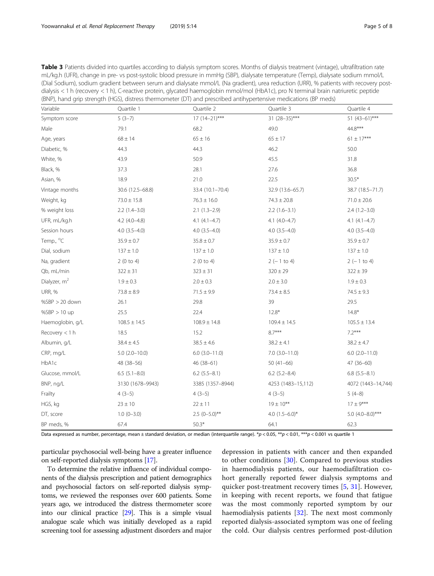<span id="page-4-0"></span>

| Table 3 Patients divided into quartiles according to dialysis symptom scores. Months of dialysis treatment (vintage), ultrafiltration rate |
|--------------------------------------------------------------------------------------------------------------------------------------------|
| mL/kg.h (UFR), change in pre- vs post-systolic blood pressure in mmHg (SBP), dialysate temperature (Temp), dialysate sodium mmol/L         |
| (Dial Sodium), sodium gradient between serum and dialysate mmol/L (Na gradient), urea reduction (URR), % patients with recovery post-      |
| dialysis < 1 h (recovery < 1 h), C-reactive protein, glycated haemoglobin mmol/mol (HbA1c), pro N terminal brain natriuretic peptide       |
| (BNP), hand grip strength (HGS), distress thermometer (DT) and prescribed antihypertensive medications (BP meds)                           |

| Variable                 | Quartile 1           | Quartile 2           | Quartile 3           | Quartile 4            |  |
|--------------------------|----------------------|----------------------|----------------------|-----------------------|--|
| Symptom score            | $5(3-7)$             | $17(14-21)$ ***      | $31 (28 - 35)$ ***   | 51 $(43-61)$ ***      |  |
| Male                     | 79.1                 | 68.2                 | 49.0                 | 44.8***               |  |
| Age, years               | $68 \pm 14$          | $65 \pm 16$          | $65\pm17$            | $61 \pm 17***$        |  |
| Diabetic, %              | 44.3                 | 44.3                 | 46.2                 | 50.0                  |  |
| White, %                 | 43.9                 | 50.9                 | 45.5                 | 31.8                  |  |
| Black, %                 | 37.3                 | 28.1                 | 27.6                 | 36.8                  |  |
| Asian, %                 | 18.9                 | 21.0                 | 22.5                 | $30.5*$               |  |
| Vintage months           | 30.6 (12.5-68.8)     | 33.4 (10.1-70.4)     | 32.9 (13.6-65.7)     | 38.7 (18.5-71.7)      |  |
| Weight, kg               | $73.0 \pm 15.8$      | $76.3 \pm 16.0$      | $74.3 \pm 20.8$      | $71.0 \pm 20.6$       |  |
| % weight loss            | $2.2(1.4-3.0)$       | $2.1(1.3-2.9)$       | $2.2(1.6-3.1)$       | $2.4(1.2-3.0)$        |  |
| UFR, mL/kg.h             | $4.2$ (4.0-4.8)      | $4.1 (4.1 - 4.7)$    | $4.1 (4.0 - 4.7)$    | $4.1 (4.1 - 4.7)$     |  |
| Session hours            | $4.0(3.5-4.0)$       | $4.0(3.5-4.0)$       | $4.0(3.5-4.0)$       | $4.0(3.5-4.0)$        |  |
| Temp., °C                | $35.9 \pm 0.7$       | $35.8 \pm 0.7$       | $35.9 \pm 0.7$       | $35.9 \pm 0.7$        |  |
| Dial, sodium             | $137 \pm 1.0$        | $137 \pm 1.0$        | $137 \pm 1.0$        | $137 \pm 1.0$         |  |
| Na, gradient             | 2(0 to 4)            | 2(0 to 4)            | $2(-1 to 4)$         | $2(-1 to 4)$          |  |
| Qb, mL/min               | $322 \pm 31$         | $323 \pm 31$         | $320 \pm 29$         | $322 \pm 39$          |  |
| Dialyzer, m <sup>2</sup> | $1.9 \pm 0.3$        | $2.0 \pm 0.3$        | $2.0 \pm 3.0$        | $1.9 \pm 0.3$         |  |
| <b>URR, %</b>            | $73.8 \pm 8.9$       | $71.5 \pm 9.9$       | $73.4 \pm 8.5$       | $74.5 \pm 9.3$        |  |
| $%SBP > 20$ down         | 26.1                 | 29.8                 | 39                   | 29.5                  |  |
| $%SBP > 10$ up           | 25.5                 | 22.4                 | $12.8*$              | $14.8*$               |  |
| Haemoglobin, g/L         | $108.5 \pm 14.5$     | $108.9 \pm 14.8$     | $109.4 \pm 14.5$     | $105.5 \pm 13.4$      |  |
| Recovery $<$ 1 h         | 18.5                 | 15.2                 | $8.7***$             | $7.2***$              |  |
| Albumin, g/L             | $38.4 \pm 4.5$       | $38.5 \pm 4.6$       | $38.2 \pm 4.1$       | $38.2 \pm 4.7$        |  |
| CRP, mg/L                | $5.0$ $(2.0 - 10.0)$ | $6.0$ $(3.0 - 11.0)$ | $7.0$ $(3.0 - 11.0)$ | $6.0$ $(2.0 - 11.0)$  |  |
| HbA1c                    | 48 (38-56)           | 46 (38-61)           | $50(41-66)$          | 47 (36-60)            |  |
| Glucose, mmol/L          | $6.5(5.1 - 8.0)$     | $6.2$ (5.5-8.1)      | $6.2$ (5.2-8.4)      | $6.8$ $(5.5-8.1)$     |  |
| BNP, ng/L                | 3130 (1678-9943)     | 3385 (1357-8944)     | 4253 (1483-15,112)   | 4072 (1443-14,744)    |  |
| Frailty                  | $4(3-5)$             | $4(3-5)$             | $4(3-5)$             | $5(4-8)$              |  |
| HGS, kg                  | $23 \pm 10$          | $22 \pm 11$          | $19 \pm 10***$       | $17 \pm 9***$         |  |
| DT, score                | $1.0 (0 - 3.0)$      | $2.5$ (0-5.0)**      | 4.0 $(1.5-6.0)$ *    | 5.0 $(4.0 - 8.0)$ *** |  |
| BP meds, %               | 67.4                 | $50.3*$              | 64.1                 | 62.3                  |  |

Data expressed as number, percentage, mean ± standard deviation, or median (interquartile range). \*p < 0.05, \*\*p < 0.01, \*\*\*p < 0.001 vs quartile 1

particular psychosocial well-being have a greater influence on self-reported dialysis symptoms [\[17\]](#page-6-0).

To determine the relative influence of individual components of the dialysis prescription and patient demographics and psychosocial factors on self-reported dialysis symptoms, we reviewed the responses over 600 patients. Some years ago, we introduced the distress thermometer score into our clinical practice [[29](#page-7-0)]. This is a simple visual analogue scale which was initially developed as a rapid screening tool for assessing adjustment disorders and major depression in patients with cancer and then expanded to other conditions [[30\]](#page-7-0). Compared to previous studies in haemodialysis patients, our haemodiafiltration cohort generally reported fewer dialysis symptoms and quicker post-treatment recovery times [[5](#page-6-0), [31](#page-7-0)]. However, in keeping with recent reports, we found that fatigue was the most commonly reported symptom by our haemodialysis patients [\[32](#page-7-0)]. The next most commonly reported dialysis-associated symptom was one of feeling the cold. Our dialysis centres performed post-dilution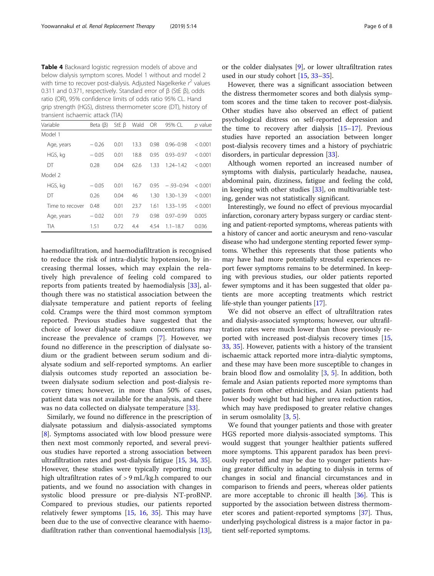<span id="page-5-0"></span>Table 4 Backward logistic regression models of above and below dialysis symptom scores. Model 1 without and model 2 with time to recover post-dialysis. Adjusted Nagelkerke  $r^2$  values 0.311 and 0.371, respectively. Standard error of β (StE β), odds ratio (OR), 95% confidence limits of odds ratio 95% CL. Hand grip strength (HGS), distress thermometer score (DT), history of transient ischaemic attack (TIA)

| Variable        | Beta $(\beta)$ | StE $\beta$ | Wald | <b>OR</b> | 95% CL        | p value |
|-----------------|----------------|-------------|------|-----------|---------------|---------|
| Model 1         |                |             |      |           |               |         |
| Age, years      | $-0.26$        | 0.01        | 13.3 | 0.98      | $0.96 - 0.98$ | < 0.001 |
| HGS, kg         | $-0.05$        | 0.01        | 18.8 | 0.95      | $0.93 - 0.97$ | < 0.001 |
| DT              | 0.28           | 0.04        | 62.6 | 1.33      | $1.24 - 1.42$ | < 0.001 |
| Model 2         |                |             |      |           |               |         |
| HGS, kg         | $-0.05$        | 0.01        | 16.7 | 0.95      | $-93-0.94$    | < 0.001 |
| DT              | 0.26           | 0.04        | 46   | 1.30      | $1.30 - 1.39$ | < 0.001 |
| Time to recover | 0.48           | 0.01        | 23.7 | 1.61      | 1.33-1.95     | < 0.001 |
| Age, years      | $-0.02$        | 0.01        | 7.9  | 0.98      | $0.97 - 0.99$ | 0.005   |
| TIA             | 1.51           | 0.72        | 4.4  | 4.54      | $1.1 - 18.7$  | 0.036   |

haemodiafiltration, and haemodiafiltration is recognised to reduce the risk of intra-dialytic hypotension, by increasing thermal losses, which may explain the relatively high prevalence of feeling cold compared to reports from patients treated by haemodialysis [[33\]](#page-7-0), although there was no statistical association between the dialysate temperature and patient reports of feeling cold. Cramps were the third most common symptom reported. Previous studies have suggested that the choice of lower dialysate sodium concentrations may increase the prevalence of cramps [\[7](#page-6-0)]. However, we found no difference in the prescription of dialysate sodium or the gradient between serum sodium and dialysate sodium and self-reported symptoms. An earlier dialysis outcomes study reported an association between dialysate sodium selection and post-dialysis recovery times; however, in more than 50% of cases, patient data was not available for the analysis, and there was no data collected on dialysate temperature [[33\]](#page-7-0).

Similarly, we found no difference in the prescription of dialysate potassium and dialysis-associated symptoms [[8\]](#page-6-0). Symptoms associated with low blood pressure were then next most commonly reported, and several previous studies have reported a strong association between ultrafiltration rates and post-dialysis fatigue [\[15](#page-6-0), [34,](#page-7-0) [35](#page-7-0)]. However, these studies were typically reporting much high ultrafiltration rates of > 9 mL/kg.h compared to our patients, and we found no association with changes in systolic blood pressure or pre-dialysis NT-proBNP. Compared to previous studies, our patients reported relatively fewer symptoms [[15](#page-6-0), [16,](#page-6-0) [35\]](#page-7-0). This may have been due to the use of convective clearance with haemodiafiltration rather than conventional haemodialysis [\[13](#page-6-0)], or the colder dialysates [\[9](#page-6-0)], or lower ultrafiltration rates used in our study cohort [\[15,](#page-6-0) [33](#page-7-0)–[35\]](#page-7-0).

However, there was a significant association between the distress thermometer scores and both dialysis symptom scores and the time taken to recover post-dialysis. Other studies have also observed an effect of patient psychological distress on self-reported depression and the time to recovery after dialysis  $[15-17]$  $[15-17]$  $[15-17]$  $[15-17]$  $[15-17]$ . Previous studies have reported an association between longer post-dialysis recovery times and a history of psychiatric disorders, in particular depression [\[33](#page-7-0)].

Although women reported an increased number of symptoms with dialysis, particularly headache, nausea, abdominal pain, dizziness, fatigue and feeling the cold, in keeping with other studies [[33\]](#page-7-0), on multivariable testing, gender was not statistically significant.

Interestingly, we found no effect of previous myocardial infarction, coronary artery bypass surgery or cardiac stenting and patient-reported symptoms, whereas patients with a history of cancer and aortic aneurysm and reno-vascular disease who had undergone stenting reported fewer symptoms. Whether this represents that those patients who may have had more potentially stressful experiences report fewer symptoms remains to be determined. In keeping with previous studies, our older patients reported fewer symptoms and it has been suggested that older patients are more accepting treatments which restrict life-style than younger patients [[17](#page-6-0)].

We did not observe an effect of ultrafiltration rates and dialysis-associated symptoms; however, our ultrafiltration rates were much lower than those previously reported with increased post-dialysis recovery times [[15](#page-6-0), [33,](#page-7-0) [35\]](#page-7-0). However, patients with a history of the transient ischaemic attack reported more intra-dialytic symptoms, and these may have been more susceptible to changes in brain blood flow and osmolality [\[3,](#page-6-0) [5](#page-6-0)]. In addition, both female and Asian patients reported more symptoms than patients from other ethnicities, and Asian patients had lower body weight but had higher urea reduction ratios, which may have predisposed to greater relative changes in serum osmolality [[3,](#page-6-0) [5\]](#page-6-0).

We found that younger patients and those with greater HGS reported more dialysis-associated symptoms. This would suggest that younger healthier patients suffered more symptoms. This apparent paradox has been previously reported and may be due to younger patients having greater difficulty in adapting to dialysis in terms of changes in social and financial circumstances and in comparison to friends and peers, whereas older patients are more acceptable to chronic ill health [\[36](#page-7-0)]. This is supported by the association between distress thermometer scores and patient-reported symptoms [[37](#page-7-0)]. Thus, underlying psychological distress is a major factor in patient self-reported symptoms.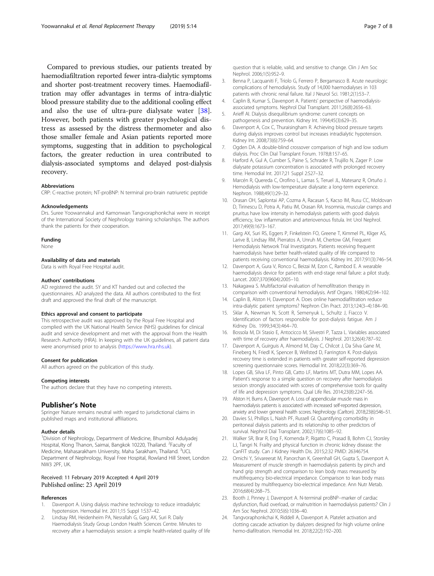<span id="page-6-0"></span>Compared to previous studies, our patients treated by haemodiafiltration reported fewer intra-dialytic symptoms and shorter post-treatment recovery times. Haemodiafiltration may offer advantages in terms of intra-dialytic blood pressure stability due to the additional cooling effect and also the use of ultra-pure dialysate water [\[38](#page-7-0)]. However, both patients with greater psychological distress as assessed by the distress thermometer and also those smaller female and Asian patients reported more symptoms, suggesting that in addition to psychological factors, the greater reduction in urea contributed to dialysis-associated symptoms and delayed post-dialysis recovery.

#### Abbreviations

CRP: C-reactive protein; NT-proBNP: N terminal pro-brain natriuretic peptide

#### Acknowledgements

Drs. Suree Yoowannakul and Kamonwan Tangvoraphonkchai were in receipt of the International Society of Nephrology training scholarships. The authors thank the patients for their cooperation.

Funding

None

#### Availability of data and materials

Data is with Royal Free Hospital audit.

#### Authors' contributions

AD reaistered the audit. SY and KT handed out and collected the questionnaires. AD analyzed the data. All authors contributed to the first draft and approved the final draft of the manuscript.

#### Ethics approval and consent to participate

This retrospective audit was approved by the Royal Free Hospital and complied with the UK National Health Service (NHS) guidelines for clinical audit and service development and met with the approval from the Health Research Authority (HRA). In keeping with the UK guidelines, all patient data were anonymised prior to analysis [\(https://www.hra.nhs.uk](https://www.hra.nhs.uk)).

#### Consent for publication

All authors agreed on the publication of this study.

#### Competing interests

The authors declare that they have no competing interests.

#### Publisher's Note

Springer Nature remains neutral with regard to jurisdictional claims in published maps and institutional affiliations.

#### Author details

<sup>1</sup> Division of Nephrology, Department of Medicine, Bhumibol Adulyadej Hospital, Klong Thanon, Saimai, Bangkok 10220, Thailand. <sup>2</sup>Faculty of Medicine, Mahasarakham University, Maha Sarakham, Thailand. <sup>3</sup>UCL Department of Nephrology, Royal Free Hospital, Rowland Hill Street, London NW3 2PF, UK.

#### Received: 11 February 2019 Accepted: 4 April 2019 Published online: 23 April 2019

#### References

- Davenport A. Using dialysis machine technology to reduce intradialytic hypotension. Hemodial Int. 2011;15 Suppl 1:S37–42.
- 2. Lindsay RM, Heidenheim PA, Nesrallah G, Garg AX, Suri R. Daily Haemodialysis Study Group London Health Sciences Centre. Minutes to recovery after a haemodialysis session: a simple health-related quality of life

question that is reliable, valid, and sensitive to change. Clin J Am Soc Nephrol. 2006;1(5):952–9.

- 3. Benna P, Lacquaniti F, Triolo G, Ferrero P, Bergamasco B. Acute neurologic complications of hemodialysis. Study of 14,000 haemodialyses in 103 patients with chronic renal failure. Ital J Neurol Sci. 1981;2(1):53–7.
- 4. Caplin B, Kumar S, Davenport A. Patients' perspective of haemodialysisassociated symptoms. Nephrol Dial Transplant. 2011;26(8):2656–63.
- 5. Arieff AI. Dialysis disequilibrium syndrome: current concepts on pathogenesis and prevention. Kidney Int. 1994;45(3):629–35.
- 6. Davenport A, Cox C, Thuraisingham R. Achieving blood pressure targets during dialysis improves control but increases intradialytic hypotension. Kidney Int. 2008;73(6):759–64.
- 7. Ogden DA. A double-blind crossover comparison of high and low sodium dialysis. Proc Clin Dial Transplant Forum. 1978;8:157–65.
- 8. Harford A, Gul A, Cumber S, Paine S, Schrader R, Trujillo N, Zager P. Low dialysate potassium concentration is associated with prolonged recovery time. Hemodial Int. 2017;21 Suppl 2:S27–32.
- 9. Marcén R, Quereda C, Orofino L, Lamas S, Teruel JL, Matesanz R, Ortuño J. Hemodialysis with low-temperature dialysate: a long-term experience. Nephron. 1988;49(1):29–32.
- 10. Orasan OH, Saplontai AP, Cozma A, Racasan S, Kacso IM, Rusu CC, Moldovan D, Tirinescu D, Potra A, Patiu IM, Orasan RA. Insomnia, muscular cramps and pruritus have low intensity in hemodialysis patients with good dialysis efficiency, low inflammation and arteriovenous fistula. Int Urol Nephrol. 2017;49(9):1673–167.
- 11. Garg AX, Suri RS, Eggers P, Finkelstein FO, Greene T, Kimmel PL, Kliger AS, Larive B, Lindsay RM, Pierratos A, Unruh M, Chertow GM, Frequent Hemodialysis Network Trial Investigators. Patients receiving frequent haemodialysis have better health-related quality of life compared to patients receiving conventional haemodialysis. Kidney Int. 2017;91(3):746–54.
- 12. Davenport A, Gura V, Ronco C, Beizai M, Ezon C, Rambod E. A wearable haemodialysis device for patients with end-stage renal failure: a pilot study. Lancet. 2007;370(9604):2005–10.
- 13. Nakagawa S. Multifactorial evaluation of hemofiltration therapy in comparison with conventional hemodialysis. Artif Organs. 1980;4(2):94–102.
- 14. Caplin B, Alston H, Davenport A. Does online haemodiafiltration reduce intra-dialytic patient symptoms? Nephron Clin Pract. 2013;124(3–4):184–90.
- 15. Sklar A, Newman N, Scott R, Semenyuk L, Schultz J, Fiacco V. Identification of factors responsible for post-dialysis fatigue. Am J Kidney Dis. 1999;34(3):464–70.
- 16. Bossola M, Di Stasio E, Antocicco M, Silvestri P, Tazza L. Variables associated with time of recovery after haemodialysis. J Nephrol. 2013;26(4):787–92.
- 17. Davenport A, Guirguis A, Almond M, Day C, Chilcot J, Da Silva Gane M, Fineberg N, Friedl K, Spencer B, Wellsted D, Farrington K. Post-dialysis recovery time is extended in patients with greater self-reported depression screening questionnaire scores. Hemodial Int. 2018;22(3):369–76.
- 18. Lopes GB, Silva LF, Pinto GB, Catto LF, Martins MT, Dutra MM, Lopes AA. Patient's response to a simple question on recovery after haemodialysis session strongly associated with scores of comprehensive tools for quality of life and depression symptoms. Qual Life Res. 2014;23(8):2247–56.
- 19. Alston H, Burns A, Davenport A. Loss of appendicular muscle mass in haemodialysis patients is associated with increased self-reported depression, anxiety and lower general health scores. Nephrology (Carlton). 2018;23(6):546–51.
- 20. Davies SJ, Phillips L, Naish PF, Russell GI. Quantifying comorbidity in peritoneal dialysis patients and its relationship to other predictors of survival. Nephrol Dial Transplant. 2002;17(6):1085–92.
- 21. Walker SR, Brar R, Eng F, Komenda P, Rigatto C, Prasad B, Bohm CJ, Storsley LJ, Tangri N. Frailty and physical function in chronic kidney disease: the CanFIT study. Can J Kidney Health Dis. 2015;2:32 PMID: 26346754.
- 22. Omichi Y, Srivareerat M, Panorchan K, Greenhall GH, Gupta S, Davenport A. Measurement of muscle strength in haemodialysis patients by pinch and hand grip strength and comparison to lean body mass measured by multifrequency bio-electrical impedance. Comparison to lean body mass measured by multifrequency bio-electrical impedance. Ann Nutr Metab. 2016;68(4):268–75.
- 23. Booth J, Pinney J, Davenport A. N-terminal proBNP--marker of cardiac dysfunction, fluid overload, or malnutrition in haemodialysis patients? Clin J Am Soc Nephrol. 2010;5(6):1036–40.
- 24. Tangvoraphonkchai K, Riddell A, Davenport A. Platelet activation and clotting cascade activation by dialyzers designed for high volume online hemo-diafiltration. Hemodial Int. 2018;22(2):192–200.